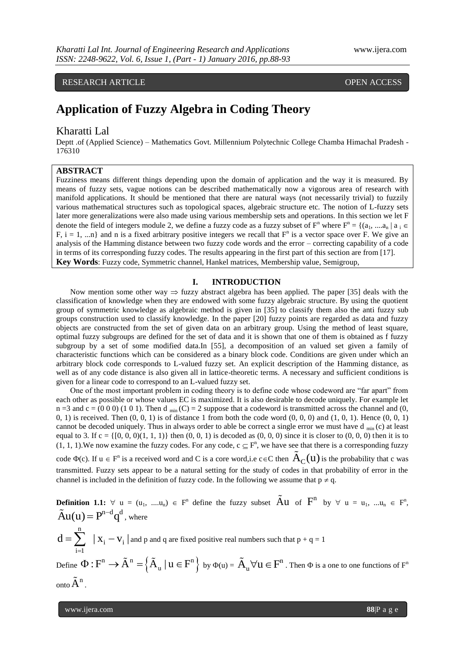## RESEARCH ARTICLE **CONTRACT ARTICLE** AND LOTE OPEN ACCESS OPEN ACCESS

# **Application of Fuzzy Algebra in Coding Theory**

### Kharatti Lal

Deptt .of (Applied Science) – Mathematics Govt. Millennium Polytechnic College Chamba Himachal Pradesh - 176310

#### **ABSTRACT**

Fuzziness means different things depending upon the domain of application and the way it is measured. By means of fuzzy sets, vague notions can be described mathematically now a vigorous area of research with manifold applications. It should be mentioned that there are natural ways (not necessarily trivial) to fuzzily various mathematical structures such as topological spaces, algebraic structure etc. The notion of L-fuzzy sets later more generalizations were also made using various membership sets and operations. In this section we let F denote the field of integers module 2, we define a fuzzy code as a fuzzy subset of  $F^n$  where  $F^n = \{(a_1, \dots, a_n | a_i \in$  $F$ , i = 1, ...n} and n is a fixed arbitrary positive integers we recall that  $F<sup>n</sup>$  is a vector space over F. We give an analysis of the Hamming distance between two fuzzy code words and the error – correcting capability of a code in terms of its corresponding fuzzy codes. The results appearing in the first part of this section are from [17]. **Key Words**: Fuzzy code, Symmetric channel, Hankel matrices, Membership value, Semigroup,

#### **I. INTRODUCTION**

Now mention some other way  $\Rightarrow$  fuzzy abstract algebra has been applied. The paper [35] deals with the classification of knowledge when they are endowed with some fuzzy algebraic structure. By using the quotient group of symmetric knowledge as algebraic method is given in [35] to classify them also the anti fuzzy sub groups construction used to classify knowledge. In the paper [20] fuzzy points are regarded as data and fuzzy objects are constructed from the set of given data on an arbitrary group. Using the method of least square, optimal fuzzy subgroups are defined for the set of data and it is shown that one of them is obtained as f fuzzy subgroup by a set of some modified data.In [55], a decomposition of an valued set given a family of characteristic functions which can be considered as a binary block code. Conditions are given under which an arbitrary block code corresponds to L-valued fuzzy set. An explicit description of the Hamming distance, as well as of any code distance is also given all in lattice-theoretic terms. A necessary and sufficient conditions is given for a linear code to correspond to an L-valued fuzzy set.

One of the most important problem in coding theory is to define code whose codeword are "far apart" from each other as possible or whose values EC is maximized. It is also desirable to decode uniquely. For example let  $n = 3$  and  $c = (0 0 0) (1 0 1)$ . Then d  $_{min}(C) = 2$  suppose that a codeword is transmitted across the channel and (0, 0, 1) is received. Then  $(0, 0, 1)$  is of distance 1 from both the code word  $(0, 0, 0)$  and  $(1, 0, 1)$ . Hence  $(0, 0, 1)$ cannot be decoded uniquely. Thus in always order to able be correct a single error we must have  $d_{min}(c)$  at least equal to 3. If  $c = \{ [0, 0, 0)(1, 1, 1) \}$  then  $(0, 0, 1)$  is decoded as  $(0, 0, 0)$  since it is closer to  $(0, 0, 0)$  then it is to  $(1, 1, 1)$ . We now examine the fuzzy codes. For any code,  $c \subseteq F^n$ , we have see that there is a corresponding fuzzy

code  $\Phi$ (c). If  $u \in F^n$  is a received word and C is a core word,i.e c  $\in$  C then  $\tilde{A}_C(u)$  is the probability that c was transmitted. Fuzzy sets appear to be a natural setting for the study of codes in that probability of error in the channel is included in the definition of fuzzy code. In the following we assume that  $p \neq q$ .

**Definition 1.1:**  $\forall$  u = (u<sub>1</sub>, ..., u<sub>n</sub>)  $\in$  F<sup>n</sup> define the fuzzy subset  $\tilde{A}u$  of  $F^n$  by  $\forall$  u = u<sub>1</sub>, ... u<sub>n</sub>  $\in$   $F^n$ ,  $\tilde{A}u(u) = P^{n-d}q^d$ , where

$$
d = \sum_{i=1}^{n} |x_i - v_i|
$$
 and p and q are fixed positive real numbers such that  $p + q = 1$   
Define  $\Phi : F^n \to \tilde{A}^n = \left\{ \tilde{A}_u | u \in F^n \right\}$  by  $\Phi(u) = \tilde{A}_u \forall u \in F^n$ . Then  $\Phi$  is a one to one functions of  $F^n$ 

onto  $\tilde{A}^n$ .

www.ijera.com **88**|P a g e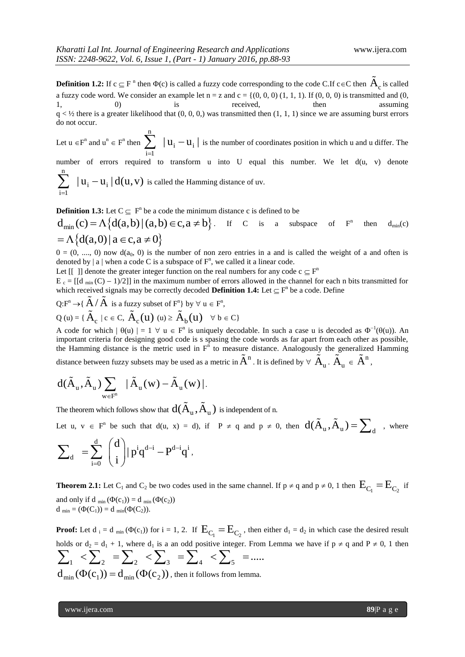**Definition 1.2:** If  $c \subseteq F^n$  then  $\Phi(c)$  is called a fuzzy code corresponding to the code C.If  $c \in C$  then  $\tilde{A}_c$  is called a fuzzy code word. We consider an example let  $n = z$  and  $c = \{(0, 0, 0), (1, 1, 1),$  If  $(0, 0, 0)$  is transmitted and  $(0, 0, 0)$ 1, 0) is received, then assuming  $q < \frac{1}{2}$  there is a greater likelihood that (0, 0, 0,) was transmitted then (1, 1, 1) since we are assuming burst errors do not occur.

Let  $u \in F^n$  and  $u^n \in F^n$  then n  $i - u_i$  $i = 1$  $|u_i - u_i|$  $=$  $\sum |u_i - u_i|$  is the number of coordinates position in which u and u differ. The

number of errors required to transform u into U equal this number. We let d(u, v) denote  $\frac{n}{\sqrt{2}}$ 

$$
\sum_{i=1}^{n} |u_i - u_i| d(u, v)
$$
 is called the Hamming distance of uv.

**Definition 1.3:** Let  $C \subseteq F^n$  be a code the minimum distance c is defined to be

**Definition 1.3:** Let  $C \subseteq F^n$  be a code the minimum distance c is defined to be<br>  $d_{min}(c) = \Lambda \{d(a,b) | (a,b) \in c, a \neq b\}$ . If C is a subspace of  $F^n$ then  $d_{min}(c)$  $=\Lambda\{d(a,0) | a \in c, a \neq 0\}$ 

 $0 = (0, \dots, 0)$  now  $d(a_0, 0)$  is the number of non zero entries in a and is called the weight of a and often is denoted by | a | when a code C is a subspace of  $F<sup>n</sup>$ , we called it a linear code.

Let [[ ]] denote the greater integer function on the real numbers for any code  $c \subseteq F^n$ 

 $E_c = [[d_{min}(C) - 1)/2]]$  in the maximum number of errors allowed in the channel for each n bits transmitted for which received signals may be correctly decoded **Definition 1.4:** Let  $\subseteq$  F<sup>n</sup> be a code. Define

$$
Q: F^{n} \to \{ \tilde{A} / \tilde{A} \text{ is a fuzzy subset of } F^{n} \} \text{ by } \forall \ u \in F^{n},
$$
  

$$
Q(u) = \{ \tilde{A}_{c} \mid c \in C, \tilde{A}_{c}(u) \ (u) \geq \tilde{A}_{b}(u) \quad \forall \ b \in C \}
$$

A code for which  $|\theta(u)| = 1 \forall u \in F^n$  is uniquely decodable. In such a case u is decoded as  $\Phi^{-1}(\theta(u))$ . An important criteria for designing good code is s spasing the code words as far apart from each other as possible, the Hamming distance is the metric used in  $F<sup>n</sup>$  to measure distance. Analogously the generalized Hamming distance between fuzzy subsets may be used as a metric in  $\tilde{A}^n$ . It is defined by  $\forall \tilde{A}_u \in \tilde{A}^n$ ,<br>  $d(\tilde{A}_u, \tilde{A}_u) \sum | \tilde{A}_u(w) - \tilde{A}_u(w) |$ .

$$
d(\tilde{A}_u,\tilde{A}_u)\sum_{w\in F^n} \ | \tilde{A}_u(w)-\tilde{A}_u(w) |.
$$

The theorem which follows show that  $\widehat{\mathsf{d}}(\tilde{\mathsf{A}}_\mathrm{u}, \tilde{\mathsf{A}}_\mathrm{u})$  is independent of n.

Let u,  $v \in F^n$  be such that  $d(u, x) = d$ ), if  $P \neq q$  and  $p \neq 0$ , then  $d(\tilde{A}_u, \tilde{A}_u) = \sum_{d}$ , where  $\sum_{i=0} \begin{pmatrix} d \\ i \end{pmatrix} |p^i q^{d-i} - P^{d-i} q^i$ ,  $\sim$ 

$$
\sum\nolimits_{d} \;\; = \sum\nolimits_{i = 0}^d \;\; \binom{d}{i} |\, p^i q^{d-i} - P^{d-i} q^i \, ,
$$

**Theorem 2.1:** Let C<sub>1</sub> and C<sub>2</sub> be two codes used in the same channel. If  $p \neq q$  and  $p \neq 0$ , 1 then  $E_{C_1} = E_{C_2}$  if and only if d  $_{min}(\Phi(c_1)) = d_{min}(\Phi(c_2))$  $d_{min} = (\Phi(C_1)) = d_{min}(\Phi(C_2)).$ 

**Proof:** Let  $d_i = d_{min}(\Phi(c_1))$  for  $i = 1, 2$ . If  $\mathbf{E}_{C_1} = \mathbf{E}_{C_2}$ , then either  $d_1 = d_2$  in which case the desired result holds or  $d_2 = d_1 + 1$ , where  $d_1$  is a an odd positive integer. From Lemma we have if  $p \neq q$  and  $P \neq 0$ , 1 then  $\sum_{1}$  <  $\sum_{2}$  =  $\sum_{2}$  <  $\sum_{3}$  =  $\sum_{4}$  <  $\sum_{5}$  = .....  $d_{\min}(\Phi(c_1)) = d_{\min}(\Phi(c_2))$ , then it follows from lemma.

www.ijera.com **89**|P a g e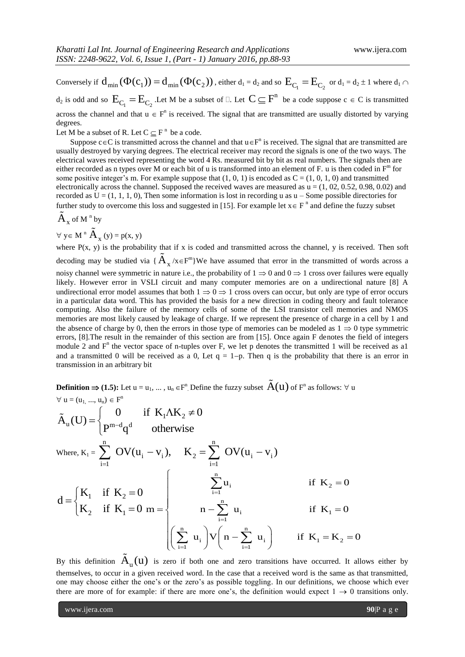Conversely if  $d_{\text{min}}(\Phi(c_1)) = d_{\text{min}}(\Phi(c_2))$ , either  $d_1 = d_2$  and so  $E_{C_1} = E_{C_2}$  or  $d_1 = d_2 \pm 1$  where  $d_1 \cap$  $d_2$  is odd and so  $E_{C_1} = E_{C_2}$ . Let M be a subset of  $\Box$ . Let  $C \subseteq F^n$  be a code suppose  $c \in C$  is transmitted across the channel and that  $u \in F^n$  is received. The signal that are transmitted are usually distorted by varying degrees.

Let M be a subset of R. Let  $C \subseteq F^n$  be a code.

Suppose  $c \in C$  is transmitted across the channel and that  $u \in F^n$  is received. The signal that are transmitted are usually destroyed by varying degrees. The electrical receiver may record the signals is one of the two ways. The electrical waves received representing the word 4 Rs. measured bit by bit as real numbers. The signals then are either recorded as n types over M or each bit of u is transformed into an element of F. u is then coded in  $F<sup>m</sup>$  for some positive integer's m. For example suppose that  $(1, 0, 1)$  is encoded as  $C = (1, 0, 1, 0)$  and transmitted electronically across the channel. Supposed the received waves are measured as  $u = (1, 0.2, 0.52, 0.98, 0.02)$  and recorded as  $U = (1, 1, 1, 0)$ , Then some information is lost in recording u as  $u$  – Some possible directories for further study to overcome this loss and suggested in [15]. For example let  $x \in F<sup>n</sup>$  and define the fuzzy subset

$$
\tilde{A}_x \text{ of } M \text{ }^n \text{ by }
$$

$$
\forall \ y \in M \ ^n \ \widetilde{A}_x \ (y) = p(x, \ y)
$$

where  $P(x, y)$  is the probability that if x is coded and transmitted across the channel, y is received. Then soft decoding may be studied via {  $\tilde{A}_x$  /x  $\in$  F<sup>m</sup>}We have assumed that error in the transmitted of words across a noisy channel were symmetric in nature i.e., the probability of  $1 \Rightarrow 0$  and  $0 \Rightarrow 1$  cross over failures were equally likely. However error in VSLI circuit and many computer memories are on a undirectional nature [8] A undirectional error model assumes that both  $1 \Rightarrow 0 \Rightarrow 1$  cross overs can occur, but only are type of error occurs in a particular data word. This has provided the basis for a new direction in coding theory and fault tolerance computing. Also the failure of the memory cells of some of the LSI transistor cell memories and NMOS memories are most likely caused by leakage of charge. If we represent the presence of charge in a cell by 1 and the absence of charge by 0, then the errors in those type of memories can be modeled as  $1 \Rightarrow 0$  type symmetric errors, [8].The result in the remainder of this section are from [15]. Once again F denotes the field of integers module 2 and  $F<sup>n</sup>$  the vector space of n-tuples over F, we let p denotes the transmitted 1 will be received as a1 and a transmitted 0 will be received as a 0, Let  $q = 1-p$ . Then q is the probability that there is an error in transmission in an arbitrary bit

**Definition**  $\Rightarrow$  (1.5): Let u = u<sub>1</sub>, ..., u<sub>n</sub>  $\in$  F<sup>n</sup> Define the fuzzy subset  $\tilde{A}(u)$  of F<sup>n</sup> as follows:  $\forall$  u

$$
\forall u = (u_1, ..., u_n) \in F^n
$$
\n
$$
\tilde{A}_u(U) = \begin{cases}\n0 & \text{if } K_1 \Lambda K_2 \neq 0 \\
P^{m-d} q^d & \text{otherwise}\n\end{cases}
$$
\nwhere,  $K_1 = \sum_{i=1}^n OV(u_i - v_i), K_2 = \sum_{i=1}^n OV(u_i - v_i)$   
\n
$$
d = \begin{cases}\nK_1 & \text{if } K_2 = 0 \\
K_2 & \text{if } K_1 = 0 \text{ } m = \begin{cases}\n\sum_{i=1}^n u_i & \text{if } K_2 = 0 \\
n - \sum_{i=1}^n u_i & \text{if } K_1 = 0 \\
\left(\sum_{i=1}^n u_i\right)V\left(n - \sum_{i=1}^n u_i\right) & \text{if } K_1 = K_2 = 0\n\end{cases}
$$

By this definition  $\tilde{A}_u(u)$  is zero if both one and zero transitions have occurred. It allows either by themselves, to occur in a given received word. In the case that a received word is the same as that transmitted, one may choose either the one's or the zero's as possible toggling. In our definitions, we choose which ever there are more of for example: if there are more one's, the definition would expect  $1 \rightarrow 0$  transitions only.

www.ijera.com **90**|P a g e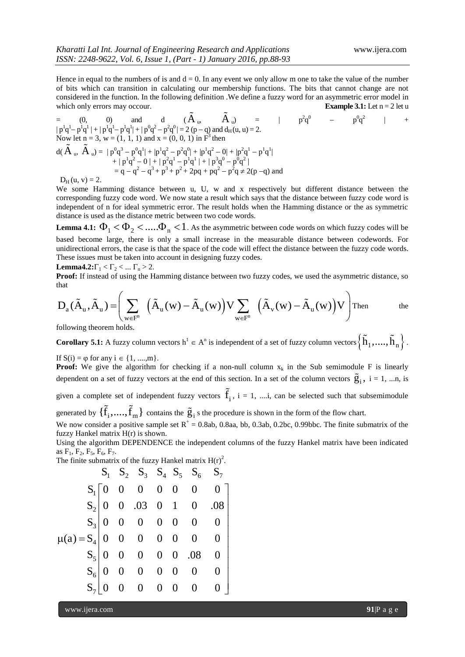Hence in equal to the numbers of is and  $d = 0$ . In any event we only allow m one to take the value of the number of bits which can transition in calculating our membership functions. The bits that cannot change are not considered in the function. In the following definition .We define a fuzzy word for an asymmetric error model in which only errors may occour. **Example 3.1:** Let  $n = 2$  let u

= (0, 0) and d  $(\tilde{A}_u, \tilde{A}_u)$  = |  $p^2q^0$  $p^0q^2$  $+$  $|p^1q^1-p^1q^1|+|p^1q^1-p^1q^1|+|p^0q^2-p^2q^0|=2 (p-q)$  and  $d_H(u, u)=2$ . Now let  $n = 3$ ,  $w = (1, 1, 1)$  and  $x = (0, 0, 1)$  in  $F<sup>3</sup>$  then

d(
$$
\tilde{A}_u
$$
,  $\tilde{A}_u$ ) =  $|p^0q^3 - p^0q^1| + |p^1q^2 - p^2q^0| + |p^1q^2 - 0| + |p^2q^1 - p^1q^1|$   
\t\t\t $+ |p^1q^2 - 0| + |p^2q^1 - p^1q^1| + |p^3q^0 - p^0q^2|$   
\t\t\t $= q - q^2 - q^3 + p^3 + p^2 + 2pq + pq^2 - p^2q \neq 2(p-q)$  and

 $D_H(u, v) = 2.$ 

We some Hamming distance between u, U, w and x respectively but different distance between the corresponding fuzzy code word. We now state a result which says that the distance between fuzzy code word is independent of n for ideal symmetric error. The result holds when the Hamming distance or the as symmetric distance is used as the distance metric between two code words.

**Lemma 4.1:**  $\Phi_1 < \Phi_2 < ...$   $\Phi_n < 1$ . As the asymmetric between code words on which fuzzy codes will be based become large, there is only a small increase in the measurable distance between codewords. For unidirectional errors, the case is that the space of the code will effect the distance between the fuzzy code words. These issues must be taken into account in designing fuzzy codes.

**Lemma4.2:** $\Gamma_1 < \Gamma_2 < ... \Gamma_n > 2$ .

**Proof:** If instead of using the Hamming distance between two fuzzy codes, we used the asymmetric distance, so that

based become large, there is only a small increase in the measurable distance between codewords. For  
unidirectional errors, the case is that the space of the code will effect the distance between the fuzzy code words.  
These issues must be taken into account in designing fuzzy codes.  
**Lemma4.2:** 
$$
\Gamma_1 < \Gamma_2 < ... \Gamma_n > 2
$$
.  
**Proof:** If instead of using the Hamming distance between two fuzzy codes, we used the asymmetric distance, so  
that  

$$
D_a(\tilde{A}_u, \tilde{A}_u) = \left( \sum_{w \in F^n} (\tilde{A}_u(w) - \tilde{A}_u(w)) V \sum_{w \in F^n} (\tilde{A}_v(w) - \tilde{A}_u(w)) V \right)
$$
Then the  
following theorem holds.

following theorem holds.

**Corollary 5.1:** A fuzzy column vectors  $h^1 \in A^n$  is independent of a set of fuzzy column vectors  $\left\{ \widetilde{h}_1, \ldots, \widetilde{h}_n \right\}$ .

If  $S(i) = \varphi$  for any  $i \in \{1, ..., m\}$ .

**Proof:** We give the algorithm for checking if a non-null column  $x_k$  in the Sub semimodule F is linearly dependent on a set of fuzzy vectors at the end of this section. In a set of the column vectors  $\tilde{g}_i$ ,  $i = 1, ...n$ , is

given a complete set of independent fuzzy vectors  $\tilde{f}_i$ ,  $i = 1, \dots i$ , can be selected such that subsemimodule

generated by  $\{\tilde{f}_1, \ldots, \tilde{f}_m\}$  contains the  $\tilde{g}_i$  s the procedure is shown in the form of the flow chart.

We now consider a positive sample set  $R^+ = 0.8$ ab, 0.8aa, bb, 0.3ab, 0.2bc, 0.99bbc. The finite submatrix of the fuzzy Hankel matrix H(r) is shown.

Using the algorithm DEPENDENCE the independent columns of the fuzzy Hankel matrix have been indicated as  $F_1$ ,  $F_2$ ,  $F_5$ ,  $F_6$ ,  $F_7$ .

The finite submatrix of the fuzzy Hankel matrix  $H(r)^2$ .

1 2 3 4 5 6 7 1 2 3 4 5 6 7 S S S S S S S <sup>S</sup> 0 0 0 0 0 0 0 <sup>S</sup> 0 0 .03 0 1 0 .08 <sup>S</sup> 0 0 0 0 0 0 0 (a) <sup>S</sup> 0 0 0 0 0 0 0 <sup>S</sup> 0 0 0 0 0 .08 0 <sup>S</sup> 0 0 0 0 0 0 0 <sup>S</sup> 0 0 0 0 0 0 0 

www.ijera.com **91**|P a g e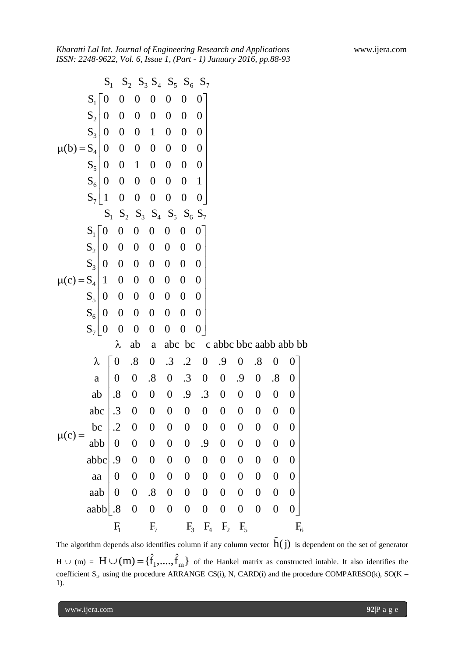| ISSN: 2248-9622, Vol. 6, Issue 1, (Part - 1) January 2016, pp.88-93 |                 |  |                  |                         |                   |                          |                          |                                           |                  |                  |                   |                   |                  |  |
|---------------------------------------------------------------------|-----------------|--|------------------|-------------------------|-------------------|--------------------------|--------------------------|-------------------------------------------|------------------|------------------|-------------------|-------------------|------------------|--|
|                                                                     |                 |  |                  |                         |                   |                          |                          | $S_1$ $S_2$ $S_3$ $S_4$ $S_5$ $S_6$ $S_7$ |                  |                  |                   |                   |                  |  |
| $\mu(b) = S_4   0 0$                                                | $S_1   0$       |  | $\boldsymbol{0}$ | $\boldsymbol{0}$        | $\boldsymbol{0}$  | $\boldsymbol{0}$         | $\boldsymbol{0}$         | 0                                         |                  |                  |                   |                   |                  |  |
|                                                                     |                 |  | $S_2   0 0$      | $0 \quad 0$             |                   | $\mathbf{0}$             | $\bf{0}$                 | $\boldsymbol{0}$                          |                  |                  |                   |                   |                  |  |
|                                                                     | $S_3   0 0$     |  |                  | $0\quad1$               |                   | $\boldsymbol{0}$         | $\overline{0}$           | $\boldsymbol{0}$                          |                  |                  |                   |                   |                  |  |
|                                                                     |                 |  |                  | $0 \quad 0$             |                   | $\overline{\phantom{0}}$ | $\bf{0}$                 | $\bf{0}$                                  |                  |                  |                   |                   |                  |  |
|                                                                     |                 |  |                  | $S_5   0 0 1$           | $\overline{0}$    | $\bf{0}$                 | $\boldsymbol{0}$         | $\overline{0}$                            |                  |                  |                   |                   |                  |  |
|                                                                     |                 |  | $S_6 0 \quad 0$  | $0\quad 0\quad 0$       |                   |                          | $\bf{0}$                 | $\mathbf{1}$                              |                  |                  |                   |                   |                  |  |
|                                                                     | $S_7 1$         |  | $\boldsymbol{0}$ | $\overline{0}$          | $\boldsymbol{0}$  | $\boldsymbol{0}$         | $\boldsymbol{0}$         | $\overline{0}$                            |                  |                  |                   |                   |                  |  |
| $S_1$ $S_2$ $S_3$ $S_4$ $S_5$ $S_6$ $S_7$                           |                 |  |                  |                         |                   |                          |                          |                                           |                  |                  |                   |                   |                  |  |
| $\mu(c) = S_4   1 0$                                                | $S_1   0$       |  | $\boldsymbol{0}$ | $\boldsymbol{0}$        | $\boldsymbol{0}$  | $\boldsymbol{0}$         | $\boldsymbol{0}$         | 0                                         |                  |                  |                   |                   |                  |  |
|                                                                     | $S_2$           |  | $0 \quad 0$      | $\bf{0}$                | $\bf{0}$          | $\overline{\mathbf{0}}$  | $\boldsymbol{0}$         | $\boldsymbol{0}$                          |                  |                  |                   |                   |                  |  |
|                                                                     |                 |  |                  | $S_3   0 0 0 0 0$       |                   |                          | $\boldsymbol{0}$         | $\boldsymbol{0}$                          |                  |                  |                   |                   |                  |  |
|                                                                     |                 |  |                  | $0\quad 0\quad 0$       |                   |                          | $\overline{\phantom{0}}$ | $\boldsymbol{0}$                          |                  |                  |                   |                   |                  |  |
|                                                                     |                 |  |                  | $S_5 0 \t0 \t0 \t0 \t0$ |                   |                          | $\bf{0}$                 | $\boldsymbol{0}$                          |                  |                  |                   |                   |                  |  |
|                                                                     | $S_6$           |  | $0 \quad 0$      | $0\quad 0\quad 0$       |                   |                          | $\overline{\mathbf{0}}$  | $\boldsymbol{0}$                          |                  |                  |                   |                   |                  |  |
|                                                                     | $S_7 0$         |  | $\boldsymbol{0}$ | $\boldsymbol{0}$        | $\boldsymbol{0}$  | $\boldsymbol{0}$         | $\boldsymbol{0}$         | $\overline{0}$                            |                  |                  |                   |                   |                  |  |
|                                                                     |                 |  | λ                | ab                      | a                 |                          |                          | abc bc c abbc bbc aabb abb bb             |                  |                  |                   |                   |                  |  |
| $\mu(c) =$                                                          | λ               |  | $\boldsymbol{0}$ | $\boldsymbol{.8}$       | $\boldsymbol{0}$  |                          | $.3 \t .2$               | $\boldsymbol{0}$                          | .9               | $\boldsymbol{0}$ | $\boldsymbol{.8}$ | $\boldsymbol{0}$  | 0                |  |
|                                                                     | $\rm{a}$        |  | $\boldsymbol{0}$ | $\boldsymbol{0}$        | $\boldsymbol{.8}$ | $\boldsymbol{0}$         | $\cdot$ 3                | $\begin{array}{c} 0 \end{array}$          | $\boldsymbol{0}$ | .9               | $\boldsymbol{0}$  | $\boldsymbol{.8}$ | $\theta$         |  |
|                                                                     | ab              |  | .8               | $\boldsymbol{0}$        | $\boldsymbol{0}$  | $\boldsymbol{0}$         | .9                       | .3                                        | $\boldsymbol{0}$ | $\boldsymbol{0}$ | $\boldsymbol{0}$  | $\boldsymbol{0}$  | $\boldsymbol{0}$ |  |
|                                                                     | abc             |  | .3               | $\boldsymbol{0}$        | $\boldsymbol{0}$  | $\boldsymbol{0}$         | $\boldsymbol{0}$         | 0                                         | $\boldsymbol{0}$ | 0                | $\boldsymbol{0}$  | $\boldsymbol{0}$  | $\overline{0}$   |  |
|                                                                     | bc              |  | $\cdot$          | $\boldsymbol{0}$        | $\boldsymbol{0}$  | $\boldsymbol{0}$         | $\boldsymbol{0}$         | $\boldsymbol{0}$                          | $\boldsymbol{0}$ | $\boldsymbol{0}$ | $\boldsymbol{0}$  | $\boldsymbol{0}$  | $\boldsymbol{0}$ |  |
|                                                                     | abb             |  | $\boldsymbol{0}$ | $\boldsymbol{0}$        | $\boldsymbol{0}$  | $\boldsymbol{0}$         | $\boldsymbol{0}$         | .9                                        | $\boldsymbol{0}$ | $\boldsymbol{0}$ | $\boldsymbol{0}$  | $\boldsymbol{0}$  | $\boldsymbol{0}$ |  |
|                                                                     | abbc            |  | .9               | $\boldsymbol{0}$        | $\boldsymbol{0}$  | $\boldsymbol{0}$         | $\boldsymbol{0}$         | $\boldsymbol{0}$                          | $\boldsymbol{0}$ | $\boldsymbol{0}$ | $\boldsymbol{0}$  | $\boldsymbol{0}$  | $\boldsymbol{0}$ |  |
|                                                                     | aa              |  | $\boldsymbol{0}$ | $\boldsymbol{0}$        | $\boldsymbol{0}$  | $\boldsymbol{0}$         | $\boldsymbol{0}$         | $\boldsymbol{0}$                          | $\boldsymbol{0}$ | $\boldsymbol{0}$ | $\boldsymbol{0}$  | $\boldsymbol{0}$  | $\boldsymbol{0}$ |  |
|                                                                     | aab             |  | $\boldsymbol{0}$ | $\boldsymbol{0}$        | $\boldsymbol{.8}$ | $\boldsymbol{0}$         | $\boldsymbol{0}$         | $\boldsymbol{0}$                          | $\boldsymbol{0}$ | $\boldsymbol{0}$ | $\boldsymbol{0}$  | $\boldsymbol{0}$  | $\boldsymbol{0}$ |  |
|                                                                     | aabb $\vert$ .8 |  |                  | $\boldsymbol{0}$        | $\boldsymbol{0}$  | $\boldsymbol{0}$         | $\boldsymbol{0}$         | $\boldsymbol{0}$                          | $\boldsymbol{0}$ | $\boldsymbol{0}$ | $\boldsymbol{0}$  | $\boldsymbol{0}$  | $\boldsymbol{0}$ |  |
|                                                                     |                 |  | $F_1$            |                         | $F_7$             |                          | $F_3$                    | $F_4$                                     | F <sub>2</sub>   | $F_5$            |                   |                   | $F_6$            |  |

The algorithm depends also identifies column if any column vector  $\tilde{h}(j)$  is dependent on the set of generator  $H \cup (m) = H \cup (m) = {\hat{f}_1, ..., \hat{f}_m}$  of the Hankel matrix as constructed intable. It also identifies the coefficient S<sub>i</sub>, using the procedure ARRANGE CS(i), N, CARD(i) and the procedure COMPARESO(k), SO(K – 1).

www.ijera.com **92**|P a g e